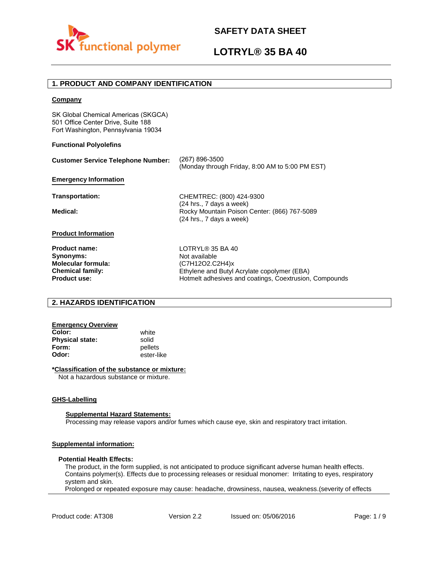

# **LOTRYL® 35 BA 40**

## **1. PRODUCT AND COMPANY IDENTIFICATION**

### **Company**

SK Global Chemical Americas (SKGCA) 501 Office Center Drive, Suite 188 Fort Washington, Pennsylvania 19034

### **Functional Polyolefins**

| <b>Customer Service Telephone Number:</b> | (267) 896-3500<br>(Monday through Friday, 8:00 AM to 5:00 PM EST)                                    |
|-------------------------------------------|------------------------------------------------------------------------------------------------------|
| <b>Emergency Information</b>              |                                                                                                      |
| <b>Transportation:</b>                    | CHEMTREC: (800) 424-9300                                                                             |
| Medical:                                  | (24 hrs., 7 days a week)<br>Rocky Mountain Poison Center: (866) 767-5089<br>(24 hrs., 7 days a week) |
| <b>Product Information</b>                |                                                                                                      |
| <b>Product name:</b>                      | LOTRYL® 35 BA 40                                                                                     |
| Synonyms:                                 | Not available                                                                                        |
| <b>Molecular formula:</b>                 | (C7H12O2.C2H4)x                                                                                      |
| <b>Chemical family:</b>                   | Ethylene and Butyl Acrylate copolymer (EBA)                                                          |
| <b>Product use:</b>                       | Hotmelt adhesives and coatings, Coextrusion, Compounds                                               |

## **2. HAZARDS IDENTIFICATION**

### **Emergency Overview**

**Color:** white **Physical state:** solid<br> **Form:** nellet **Form:** pellets<br> **Odor:** ester-li

**Odor:** ester-like

### **\*Classification of the substance or mixture:**

Not a hazardous substance or mixture.

### **GHS-Labelling**

### **Supplemental Hazard Statements:**

Processing may release vapors and/or fumes which cause eye, skin and respiratory tract irritation.

### **Supplemental information:**

### **Potential Health Effects:**

The product, in the form supplied, is not anticipated to produce significant adverse human health effects. Contains polymer(s). Effects due to processing releases or residual monomer: Irritating to eyes, respiratory system and skin.

Prolonged or repeated exposure may cause: headache, drowsiness, nausea, weakness.(severity of effects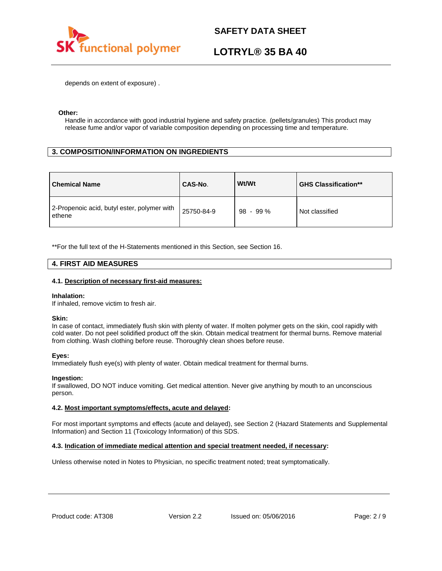

# **LOTRYL® 35 BA 40**

depends on extent of exposure) .

### **Other:**

Handle in accordance with good industrial hygiene and safety practice. (pellets/granules) This product may release fume and/or vapor of variable composition depending on processing time and temperature.

## **3. COMPOSITION/INFORMATION ON INGREDIENTS**

| <b>Chemical Name</b>                                  | CAS-No.    | Wt/Wt      | <b>GHS Classification**</b> |
|-------------------------------------------------------|------------|------------|-----------------------------|
| 2-Propenoic acid, butyl ester, polymer with<br>ethene | 25750-84-9 | $98 - 99%$ | Not classified              |

\*\*For the full text of the H-Statements mentioned in this Section, see Section 16.

### **4. FIRST AID MEASURES**

### **4.1. Description of necessary first-aid measures:**

### **Inhalation:**

If inhaled, remove victim to fresh air.

### **Skin:**

In case of contact, immediately flush skin with plenty of water. If molten polymer gets on the skin, cool rapidly with cold water. Do not peel solidified product off the skin. Obtain medical treatment for thermal burns. Remove material from clothing. Wash clothing before reuse. Thoroughly clean shoes before reuse.

### **Eyes:**

Immediately flush eye(s) with plenty of water. Obtain medical treatment for thermal burns.

### **Ingestion:**

If swallowed, DO NOT induce vomiting. Get medical attention. Never give anything by mouth to an unconscious person.

### **4.2. Most important symptoms/effects, acute and delayed:**

For most important symptoms and effects (acute and delayed), see Section 2 (Hazard Statements and Supplemental Information) and Section 11 (Toxicology Information) of this SDS.

### **4.3. Indication of immediate medical attention and special treatment needed, if necessary:**

Unless otherwise noted in Notes to Physician, no specific treatment noted; treat symptomatically.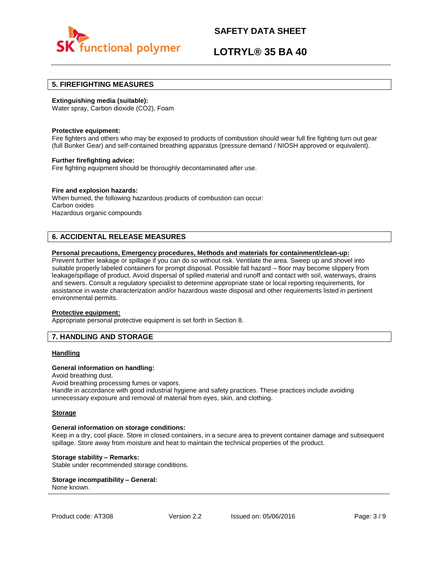

## **LOTRYL® 35 BA 40**

### **5. FIREFIGHTING MEASURES**

### **Extinguishing media (suitable):**

Water spray, Carbon dioxide (CO2), Foam

### **Protective equipment:**

Fire fighters and others who may be exposed to products of combustion should wear full fire fighting turn out gear (full Bunker Gear) and self-contained breathing apparatus (pressure demand / NIOSH approved or equivalent).

### **Further firefighting advice:**

Fire fighting equipment should be thoroughly decontaminated after use.

### **Fire and explosion hazards:**

When burned, the following hazardous products of combustion can occur: Carbon oxides Hazardous organic compounds

## **6. ACCIDENTAL RELEASE MEASURES**

### **Personal precautions, Emergency procedures, Methods and materials for containment/clean-up:**

Prevent further leakage or spillage if you can do so without risk. Ventilate the area. Sweep up and shovel into suitable properly labeled containers for prompt disposal. Possible fall hazard – floor may become slippery from leakage/spillage of product. Avoid dispersal of spilled material and runoff and contact with soil, waterways, drains and sewers. Consult a regulatory specialist to determine appropriate state or local reporting requirements, for assistance in waste characterization and/or hazardous waste disposal and other requirements listed in pertinent environmental permits.

### **Protective equipment:**

Appropriate personal protective equipment is set forth in Section 8.

### **7. HANDLING AND STORAGE**

### **Handling**

### **General information on handling:**

Avoid breathing dust.

Avoid breathing processing fumes or vapors.

Handle in accordance with good industrial hygiene and safety practices. These practices include avoiding unnecessary exposure and removal of material from eyes, skin, and clothing.

### **Storage**

### **General information on storage conditions:**

Keep in a dry, cool place. Store in closed containers, in a secure area to prevent container damage and subsequent spillage. Store away from moisture and heat to maintain the technical properties of the product.

### **Storage stability – Remarks:**

Stable under recommended storage conditions.

#### **Storage incompatibility – General:**  None known.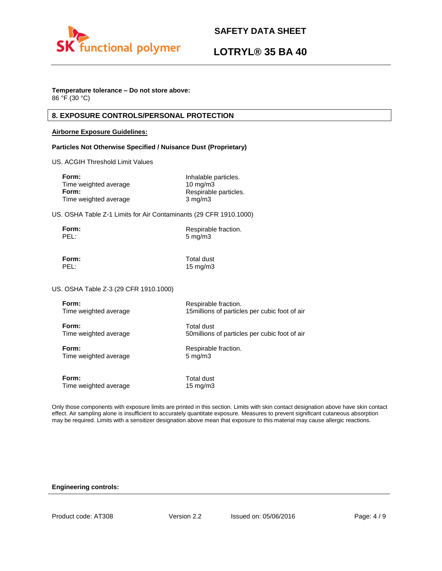

# **LOTRYL® 35 BA 40**

## **Temperature tolerance – Do not store above:**

86 °F (30 °C)

## **8. EXPOSURE CONTROLS/PERSONAL PROTECTION**

### **Airborne Exposure Guidelines:**

### **Particles Not Otherwise Specified / Nuisance Dust (Proprietary)**

US. ACGIH Threshold Limit Values

| Form:                 | Inhalable particles.  |
|-----------------------|-----------------------|
| Time weighted average | $10 \text{ mg/m}$     |
| Form:                 | Respirable particles. |
| Time weighted average | $3 \text{ mg/m}$      |

US. OSHA Table Z-1 Limits for Air Contaminants (29 CFR 1910.1000)

| Form: | Respirable fraction. |
|-------|----------------------|
| PEL:  | $5 \text{ mg/m}$     |

**Form:** Total dust PEL: 15 mg/m3

US. OSHA Table Z-3 (29 CFR 1910.1000)

| Form:                 | Respirable fraction.                           |
|-----------------------|------------------------------------------------|
| Time weighted average | 15 millions of particles per cubic foot of air |
| Form:                 | Total dust                                     |
| Time weighted average | 50 millions of particles per cubic foot of air |
| Form:                 | Respirable fraction.                           |
| Time weighted average | $5 \text{ mg/m}$                               |
| Form:                 | Total dust                                     |
| Time weighted average | $15 \text{ mg/m}$                              |

Only those components with exposure limits are printed in this section. Limits with skin contact designation above have skin contact effect. Air sampling alone is insufficient to accurately quantitate exposure. Measures to prevent significant cutaneous absorption may be required. Limits with a sensitizer designation above mean that exposure to this material may cause allergic reactions.

### **Engineering controls:**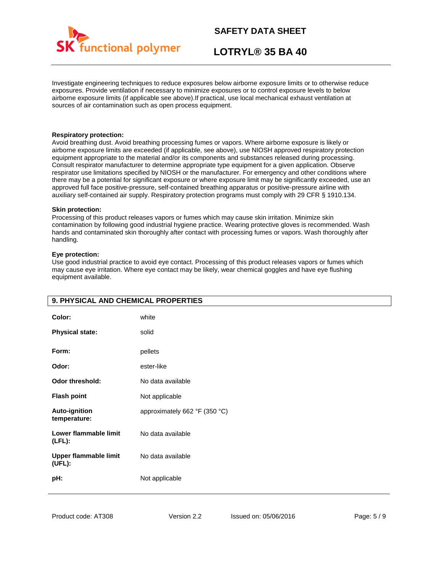

# **LOTRYL® 35 BA 40**

Investigate engineering techniques to reduce exposures below airborne exposure limits or to otherwise reduce exposures. Provide ventilation if necessary to minimize exposures or to control exposure levels to below airborne exposure limits (if applicable see above).If practical, use local mechanical exhaust ventilation at sources of air contamination such as open process equipment.

### **Respiratory protection:**

Avoid breathing dust. Avoid breathing processing fumes or vapors. Where airborne exposure is likely or airborne exposure limits are exceeded (if applicable, see above), use NIOSH approved respiratory protection equipment appropriate to the material and/or its components and substances released during processing. Consult respirator manufacturer to determine appropriate type equipment for a given application. Observe respirator use limitations specified by NIOSH or the manufacturer. For emergency and other conditions where there may be a potential for significant exposure or where exposure limit may be significantly exceeded, use an approved full face positive-pressure, self-contained breathing apparatus or positive-pressure airline with auxiliary self-contained air supply. Respiratory protection programs must comply with 29 CFR § 1910.134.

### **Skin protection:**

Processing of this product releases vapors or fumes which may cause skin irritation. Minimize skin contamination by following good industrial hygiene practice. Wearing protective gloves is recommended. Wash hands and contaminated skin thoroughly after contact with processing fumes or vapors. Wash thoroughly after handling.

### **Eye protection:**

Use good industrial practice to avoid eye contact. Processing of this product releases vapors or fumes which may cause eye irritation. Where eye contact may be likely, wear chemical goggles and have eye flushing equipment available.

| 9. PHYSICAL AND CHEMICAL PROPERTIES    |                               |
|----------------------------------------|-------------------------------|
| Color:                                 | white                         |
| <b>Physical state:</b>                 | solid                         |
| Form:                                  | pellets                       |
| Odor:                                  | ester-like                    |
| <b>Odor threshold:</b>                 | No data available             |
| <b>Flash point</b>                     | Not applicable                |
| Auto-ignition<br>temperature:          | approximately 662 °F (350 °C) |
| Lower flammable limit<br>$(LFL)$ :     | No data available             |
| <b>Upper flammable limit</b><br>(UEL): | No data available             |
| pH:                                    | Not applicable                |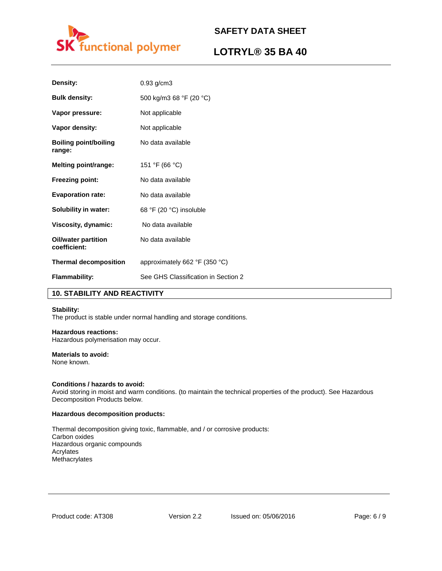

# **LOTRYL® 35 BA 40**

| Density:                                   | $0.93$ g/cm3                                    |
|--------------------------------------------|-------------------------------------------------|
| <b>Bulk density:</b>                       | 500 kg/m3 68 °F (20 °C)                         |
| Vapor pressure:                            | Not applicable                                  |
| Vapor density:                             | Not applicable                                  |
| <b>Boiling point/boiling</b><br>range:     | No data available                               |
| <b>Melting point/range:</b>                | 151 °F (66 °C)                                  |
| <b>Freezing point:</b>                     | No data available                               |
| <b>Evaporation rate:</b>                   | No data available                               |
| <b>Solubility in water:</b>                | 68 °F (20 °C) insoluble                         |
| Viscosity, dynamic:                        | No data available                               |
| <b>Oil/water partition</b><br>coefficient: | No data available                               |
| <b>Thermal decomposition</b>               | approximately 662 $\degree$ F (350 $\degree$ C) |
| <b>Flammability:</b>                       | See GHS Classification in Section 2             |

## **10. STABILITY AND REACTIVITY**

### **Stability:**

The product is stable under normal handling and storage conditions.

### **Hazardous reactions:**

Hazardous polymerisation may occur.

## **Materials to avoid:**

None known.

### **Conditions / hazards to avoid:**

Avoid storing in moist and warm conditions. (to maintain the technical properties of the product). See Hazardous Decomposition Products below.

### **Hazardous decomposition products:**

Thermal decomposition giving toxic, flammable, and / or corrosive products: Carbon oxides Hazardous organic compounds Acrylates Methacrylates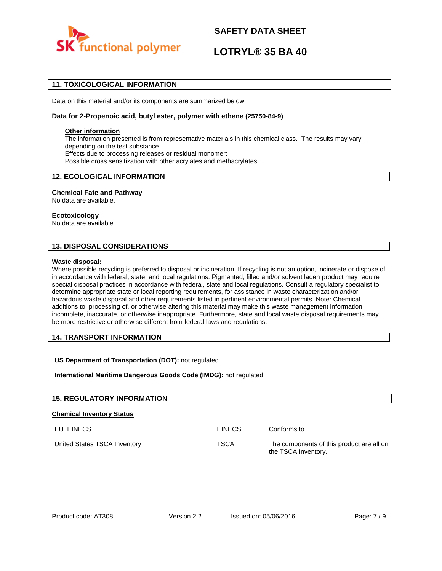

# **LOTRYL® 35 BA 40**

## **11. TOXICOLOGICAL INFORMATION**

Data on this material and/or its components are summarized below.

### **Data for 2-Propenoic acid, butyl ester, polymer with ethene (25750-84-9)**

### **Other information**

The information presented is from representative materials in this chemical class. The results may vary depending on the test substance. Effects due to processing releases or residual monomer: Possible cross sensitization with other acrylates and methacrylates

## **12. ECOLOGICAL INFORMATION**

### **Chemical Fate and Pathway**

No data are available.

### **Ecotoxicology**

No data are available.

## **13. DISPOSAL CONSIDERATIONS**

### **Waste disposal:**

Where possible recycling is preferred to disposal or incineration. If recycling is not an option, incinerate or dispose of in accordance with federal, state, and local regulations. Pigmented, filled and/or solvent laden product may require special disposal practices in accordance with federal, state and local regulations. Consult a regulatory specialist to determine appropriate state or local reporting requirements, for assistance in waste characterization and/or hazardous waste disposal and other requirements listed in pertinent environmental permits. Note: Chemical additions to, processing of, or otherwise altering this material may make this waste management information incomplete, inaccurate, or otherwise inappropriate. Furthermore, state and local waste disposal requirements may be more restrictive or otherwise different from federal laws and regulations.

## **14. TRANSPORT INFORMATION**

### **US Department of Transportation (DOT):** not regulated

**International Maritime Dangerous Goods Code (IMDG):** not regulated

| <b>15. REGULATORY INFORMATION</b> |               |                                                                  |
|-----------------------------------|---------------|------------------------------------------------------------------|
| <b>Chemical Inventory Status</b>  |               |                                                                  |
| EU. EINECS                        | <b>EINECS</b> | Conforms to                                                      |
| United States TSCA Inventory      | <b>TSCA</b>   | The components of this product are all on<br>the TSCA Inventory. |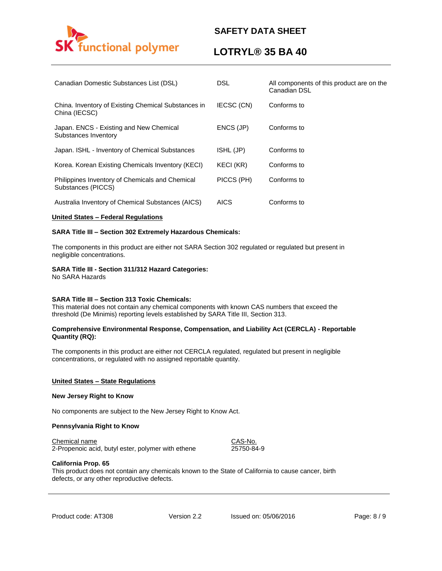

# **LOTRYL® 35 BA 40**

| Canadian Domestic Substances List (DSL)                               | <b>DSL</b>  | All components of this product are on the<br>Canadian DSL |
|-----------------------------------------------------------------------|-------------|-----------------------------------------------------------|
| China. Inventory of Existing Chemical Substances in<br>China (IECSC)  | IECSC (CN)  | Conforms to                                               |
| Japan. ENCS - Existing and New Chemical<br>Substances Inventory       | ENCS (JP)   | Conforms to                                               |
| Japan. ISHL - Inventory of Chemical Substances                        | ISHL (JP)   | Conforms to                                               |
| Korea. Korean Existing Chemicals Inventory (KECI)                     | KECI (KR)   | Conforms to                                               |
| Philippines Inventory of Chemicals and Chemical<br>Substances (PICCS) | PICCS (PH)  | Conforms to                                               |
| Australia Inventory of Chemical Substances (AICS)                     | <b>AICS</b> | Conforms to                                               |

### **United States – Federal Regulations**

### **SARA Title III – Section 302 Extremely Hazardous Chemicals:**

The components in this product are either not SARA Section 302 regulated or regulated but present in negligible concentrations.

### **SARA Title III - Section 311/312 Hazard Categories:**

No SARA Hazards

### **SARA Title III – Section 313 Toxic Chemicals:**

This material does not contain any chemical components with known CAS numbers that exceed the threshold (De Minimis) reporting levels established by SARA Title III, Section 313.

### **Comprehensive Environmental Response, Compensation, and Liability Act (CERCLA) - Reportable Quantity (RQ):**

The components in this product are either not CERCLA regulated, regulated but present in negligible concentrations, or regulated with no assigned reportable quantity.

### **United States – State Regulations**

### **New Jersey Right to Know**

No components are subject to the New Jersey Right to Know Act.

### **Pennsylvania Right to Know**

### Chemical name CAS-No.

2-Propenoic acid, butyl ester, polymer with ethene 25750-84-9

### **California Prop. 65**

This product does not contain any chemicals known to the State of California to cause cancer, birth defects, or any other reproductive defects.